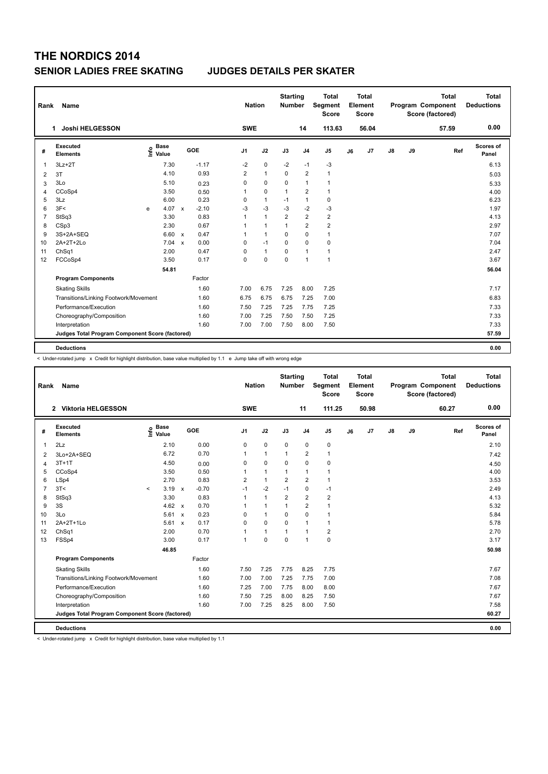| Rank | Name                                            |   |                                    |              |         |                | <b>Nation</b>  |              | <b>Starting</b><br><b>Number</b> |                | <b>Total</b><br>Segment<br><b>Score</b> |    | <b>Total</b><br>Element<br><b>Score</b> |               |    | <b>Total</b><br>Program Component<br>Score (factored) |     | <b>Total</b><br><b>Deductions</b> |
|------|-------------------------------------------------|---|------------------------------------|--------------|---------|----------------|----------------|--------------|----------------------------------|----------------|-----------------------------------------|----|-----------------------------------------|---------------|----|-------------------------------------------------------|-----|-----------------------------------|
|      | Joshi HELGESSON<br>1.                           |   |                                    |              |         |                | <b>SWE</b>     |              |                                  | 14             | 113.63                                  |    | 56.04                                   |               |    | 57.59                                                 |     | 0.00                              |
| #    | Executed<br><b>Elements</b>                     |   | <b>Base</b><br>$\frac{6}{5}$ Value |              | GOE     | J <sub>1</sub> |                | J2           | J3                               | J <sub>4</sub> | J <sub>5</sub>                          | J6 | J <sub>7</sub>                          | $\mathsf{J}8$ | J9 |                                                       | Ref | <b>Scores of</b><br>Panel         |
| 1    | $3Lz + 2T$                                      |   | 7.30                               |              | $-1.17$ |                | $-2$           | $\pmb{0}$    | $-2$                             | $-1$           | $-3$                                    |    |                                         |               |    |                                                       |     | 6.13                              |
| 2    | 3T                                              |   | 4.10                               |              | 0.93    |                | $\overline{2}$ | $\mathbf{1}$ | $\Omega$                         | $\overline{2}$ | $\mathbf{1}$                            |    |                                         |               |    |                                                       |     | 5.03                              |
| 3    | 3Lo                                             |   | 5.10                               |              | 0.23    |                | 0              | $\mathbf 0$  | $\Omega$                         | $\mathbf{1}$   | $\mathbf{1}$                            |    |                                         |               |    |                                                       |     | 5.33                              |
| 4    | CCoSp4                                          |   | 3.50                               |              | 0.50    | 1              |                | $\mathbf 0$  | $\mathbf{1}$                     | $\overline{2}$ | $\mathbf{1}$                            |    |                                         |               |    |                                                       |     | 4.00                              |
| 5    | 3Lz                                             |   | 6.00                               |              | 0.23    |                | 0              | $\mathbf{1}$ | $-1$                             | $\mathbf{1}$   | $\mathbf 0$                             |    |                                         |               |    |                                                       |     | 6.23                              |
| 6    | 3F<                                             | e | 4.07                               | $\mathsf{x}$ | $-2.10$ |                | $-3$           | $-3$         | $-3$                             | $-2$           | $-3$                                    |    |                                         |               |    |                                                       |     | 1.97                              |
| 7    | StSq3                                           |   | 3.30                               |              | 0.83    |                |                | $\mathbf{1}$ | $\overline{2}$                   | $\overline{2}$ | $\overline{2}$                          |    |                                         |               |    |                                                       |     | 4.13                              |
| 8    | CSp3                                            |   | 2.30                               |              | 0.67    | 1              |                | $\mathbf{1}$ | $\mathbf{1}$                     | $\overline{2}$ | $\overline{2}$                          |    |                                         |               |    |                                                       |     | 2.97                              |
| 9    | 3S+2A+SEQ                                       |   | 6.60 x                             |              | 0.47    | 1              |                | $\mathbf{1}$ | $\mathbf 0$                      | $\mathbf 0$    | $\mathbf{1}$                            |    |                                         |               |    |                                                       |     | 7.07                              |
| 10   | 2A+2T+2Lo                                       |   | 7.04                               | $\mathsf{x}$ | 0.00    |                | 0              | $-1$         | $\Omega$                         | $\mathbf 0$    | $\mathbf 0$                             |    |                                         |               |    |                                                       |     | 7.04                              |
| 11   | Ch <sub>Sq1</sub>                               |   | 2.00                               |              | 0.47    |                | 0              | $\mathbf{1}$ | 0                                | $\mathbf{1}$   | $\mathbf{1}$                            |    |                                         |               |    |                                                       |     | 2.47                              |
| 12   | FCCoSp4                                         |   | 3.50                               |              | 0.17    |                | 0              | $\mathbf 0$  | $\mathbf 0$                      | $\mathbf{1}$   | $\mathbf{1}$                            |    |                                         |               |    |                                                       |     | 3.67                              |
|      |                                                 |   | 54.81                              |              |         |                |                |              |                                  |                |                                         |    |                                         |               |    |                                                       |     | 56.04                             |
|      | <b>Program Components</b>                       |   |                                    |              | Factor  |                |                |              |                                  |                |                                         |    |                                         |               |    |                                                       |     |                                   |
|      | <b>Skating Skills</b>                           |   |                                    |              | 1.60    | 7.00           |                | 6.75         | 7.25                             | 8.00           | 7.25                                    |    |                                         |               |    |                                                       |     | 7.17                              |
|      | Transitions/Linking Footwork/Movement           |   |                                    |              | 1.60    | 6.75           |                | 6.75         | 6.75                             | 7.25           | 7.00                                    |    |                                         |               |    |                                                       |     | 6.83                              |
|      | Performance/Execution                           |   |                                    |              | 1.60    | 7.50           |                | 7.25         | 7.25                             | 7.75           | 7.25                                    |    |                                         |               |    |                                                       |     | 7.33                              |
|      | Choreography/Composition                        |   |                                    |              | 1.60    | 7.00           |                | 7.25         | 7.50                             | 7.50           | 7.25                                    |    |                                         |               |    |                                                       |     | 7.33                              |
|      | Interpretation                                  |   |                                    |              | 1.60    | 7.00           |                | 7.00         | 7.50                             | 8.00           | 7.50                                    |    |                                         |               |    |                                                       |     | 7.33                              |
|      | Judges Total Program Component Score (factored) |   |                                    |              |         |                |                |              |                                  |                |                                         |    |                                         |               |    |                                                       |     | 57.59                             |
|      |                                                 |   |                                    |              |         |                |                |              |                                  |                |                                         |    |                                         |               |    |                                                       |     |                                   |
|      | <b>Deductions</b>                               |   |                                    |              |         |                |                |              |                                  |                |                                         |    |                                         |               |    |                                                       |     | 0.00                              |

< Under-rotated jump x Credit for highlight distribution, base value multiplied by 1.1 e Jump take off with wrong edge

| Rank           | Name                                            |         |                                  |              |         |                | <b>Nation</b> |              | <b>Starting</b><br><b>Number</b> |                | <b>Total</b><br>Segment<br><b>Score</b> |    | Total<br>Element<br><b>Score</b> |               |    | <b>Total</b><br>Program Component<br>Score (factored) | <b>Total</b><br><b>Deductions</b> |
|----------------|-------------------------------------------------|---------|----------------------------------|--------------|---------|----------------|---------------|--------------|----------------------------------|----------------|-----------------------------------------|----|----------------------------------|---------------|----|-------------------------------------------------------|-----------------------------------|
|                | 2 Viktoria HELGESSON                            |         |                                  |              |         |                | <b>SWE</b>    |              |                                  | 11             | 111.25                                  |    | 50.98                            |               |    | 60.27                                                 | 0.00                              |
| #              | Executed<br><b>Elements</b>                     |         | <b>Base</b><br>e Base<br>E Value |              | GOE     | J <sub>1</sub> |               | J2           | J3                               | J <sub>4</sub> | J <sub>5</sub>                          | J6 | J7                               | $\mathsf{J}8$ | J9 | Ref                                                   | Scores of<br>Panel                |
| $\mathbf{1}$   | 2Lz                                             |         | 2.10                             |              | 0.00    |                | 0             | $\mathbf 0$  | 0                                | 0              | 0                                       |    |                                  |               |    |                                                       | 2.10                              |
| 2              | 3Lo+2A+SEQ                                      |         | 6.72                             |              | 0.70    |                | 1             | $\mathbf{1}$ | 1                                | $\overline{2}$ | $\mathbf{1}$                            |    |                                  |               |    |                                                       | 7.42                              |
| 4              | $3T+1T$                                         |         | 4.50                             |              | 0.00    |                | 0             | 0            | 0                                | $\mathbf 0$    | 0                                       |    |                                  |               |    |                                                       | 4.50                              |
| 5              | CCoSp4                                          |         | 3.50                             |              | 0.50    |                | 1             | $\mathbf{1}$ | $\mathbf{1}$                     | $\mathbf{1}$   | $\mathbf{1}$                            |    |                                  |               |    |                                                       | 4.00                              |
| 6              | LSp4                                            |         | 2.70                             |              | 0.83    |                | 2             | $\mathbf{1}$ | $\overline{2}$                   | $\overline{2}$ | $\mathbf{1}$                            |    |                                  |               |    |                                                       | 3.53                              |
| $\overline{7}$ | 3T<                                             | $\prec$ | 3.19                             | $\mathsf{x}$ | $-0.70$ |                | $-1$          | $-2$         | $-1$                             | $\mathbf 0$    | $-1$                                    |    |                                  |               |    |                                                       | 2.49                              |
| 8              | StSq3                                           |         | 3.30                             |              | 0.83    | 1              |               | $\mathbf{1}$ | $\overline{2}$                   | $\overline{2}$ | $\overline{2}$                          |    |                                  |               |    |                                                       | 4.13                              |
| 9              | 3S                                              |         | 4.62                             | $\mathsf{x}$ | 0.70    |                | 1             | $\mathbf{1}$ | 1                                | $\overline{2}$ | $\mathbf{1}$                            |    |                                  |               |    |                                                       | 5.32                              |
| 10             | 3Lo                                             |         | 5.61                             | $\mathsf{x}$ | 0.23    |                | 0             | $\mathbf{1}$ | $\Omega$                         | $\Omega$       | $\mathbf{1}$                            |    |                                  |               |    |                                                       | 5.84                              |
| 11             | 2A+2T+1Lo                                       |         | 5.61                             | $\mathbf{x}$ | 0.17    |                | 0             | 0            | 0                                | $\mathbf{1}$   | $\mathbf{1}$                            |    |                                  |               |    |                                                       | 5.78                              |
| 12             | ChSq1                                           |         | 2.00                             |              | 0.70    | 1              |               | $\mathbf{1}$ | 1                                | $\overline{1}$ | $\overline{2}$                          |    |                                  |               |    |                                                       | 2.70                              |
| 13             | FSSp4                                           |         | 3.00                             |              | 0.17    | 1              |               | $\Omega$     | $\Omega$                         | $\overline{1}$ | $\mathbf 0$                             |    |                                  |               |    |                                                       | 3.17                              |
|                |                                                 |         | 46.85                            |              |         |                |               |              |                                  |                |                                         |    |                                  |               |    |                                                       | 50.98                             |
|                | <b>Program Components</b>                       |         |                                  |              | Factor  |                |               |              |                                  |                |                                         |    |                                  |               |    |                                                       |                                   |
|                | <b>Skating Skills</b>                           |         |                                  |              | 1.60    |                | 7.50          | 7.25         | 7.75                             | 8.25           | 7.75                                    |    |                                  |               |    |                                                       | 7.67                              |
|                | Transitions/Linking Footwork/Movement           |         |                                  |              | 1.60    |                | 7.00          | 7.00         | 7.25                             | 7.75           | 7.00                                    |    |                                  |               |    |                                                       | 7.08                              |
|                | Performance/Execution                           |         |                                  |              | 1.60    |                | 7.25          | 7.00         | 7.75                             | 8.00           | 8.00                                    |    |                                  |               |    |                                                       | 7.67                              |
|                | Choreography/Composition                        |         |                                  |              | 1.60    |                | 7.50          | 7.25         | 8.00                             | 8.25           | 7.50                                    |    |                                  |               |    |                                                       | 7.67                              |
|                | Interpretation                                  |         |                                  |              | 1.60    |                | 7.00          | 7.25         | 8.25                             | 8.00           | 7.50                                    |    |                                  |               |    |                                                       | 7.58                              |
|                | Judges Total Program Component Score (factored) |         |                                  |              |         |                |               |              |                                  |                |                                         |    |                                  |               |    |                                                       | 60.27                             |
|                | <b>Deductions</b>                               |         |                                  |              |         |                |               |              |                                  |                |                                         |    |                                  |               |    |                                                       | 0.00                              |

< Under-rotated jump x Credit for highlight distribution, base value multiplied by 1.1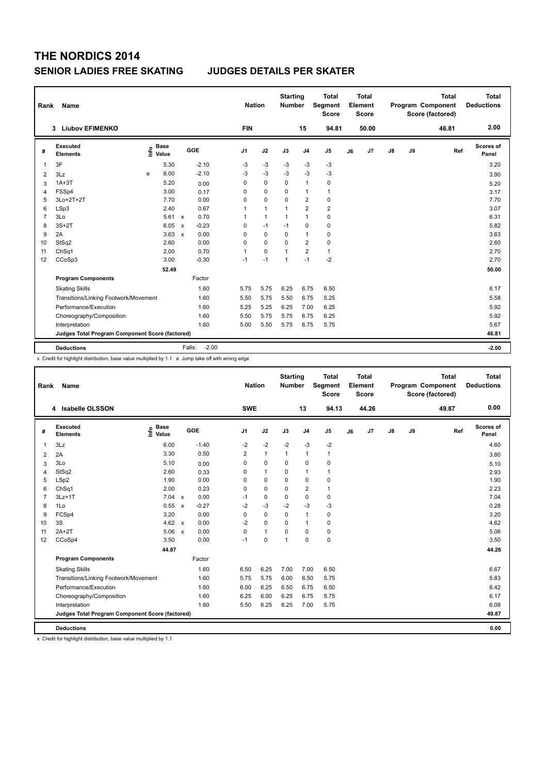| Rank                    | <b>Name</b>                                     |                                  |                           |                   | <b>Nation</b>  |              | <b>Starting</b><br><b>Number</b> |                | <b>Total</b><br>Segment<br><b>Score</b> |    | <b>Total</b><br>Element<br><b>Score</b> |               |    | <b>Total</b><br>Program Component<br>Score (factored) | <b>Total</b><br><b>Deductions</b> |
|-------------------------|-------------------------------------------------|----------------------------------|---------------------------|-------------------|----------------|--------------|----------------------------------|----------------|-----------------------------------------|----|-----------------------------------------|---------------|----|-------------------------------------------------------|-----------------------------------|
|                         | <b>Liubov EFIMENKO</b><br>3                     |                                  |                           |                   | <b>FIN</b>     |              |                                  | 15             | 94.81                                   |    | 50.00                                   |               |    | 46.81                                                 | 2.00                              |
| #                       | Executed<br><b>Elements</b>                     | <b>Base</b><br>e Base<br>E Value |                           | <b>GOE</b>        | J <sub>1</sub> | J2           | J3                               | J <sub>4</sub> | J <sub>5</sub>                          | J6 | J7                                      | $\mathsf{J}8$ | J9 | Ref                                                   | <b>Scores of</b><br>Panel         |
| $\mathbf{1}$            | 3F                                              | 5.30                             |                           | $-2.10$           | $-3$           | $-3$         | $-3$                             | $-3$           | $-3$                                    |    |                                         |               |    |                                                       | 3.20                              |
| $\overline{\mathbf{c}}$ | 3Lz                                             | 6.00<br>e                        |                           | $-2.10$           | $-3$           | $-3$         | $-3$                             | $-3$           | $-3$                                    |    |                                         |               |    |                                                       | 3.90                              |
| 3                       | $1A+3T$                                         | 5.20                             |                           | 0.00              | 0              | $\mathbf 0$  | 0                                | $\mathbf{1}$   | 0                                       |    |                                         |               |    |                                                       | 5.20                              |
| 4                       | FSSp4                                           | 3.00                             |                           | 0.17              | 0              | $\mathbf 0$  | $\Omega$                         | $\mathbf{1}$   | $\mathbf{1}$                            |    |                                         |               |    |                                                       | 3.17                              |
| 5                       | 3Lo+2T+2T                                       | 7.70                             |                           | 0.00              | 0              | $\pmb{0}$    | 0                                | $\overline{2}$ | 0                                       |    |                                         |               |    |                                                       | 7.70                              |
| 6                       | LSp3                                            | 2.40                             |                           | 0.67              | 1              | $\mathbf{1}$ |                                  | $\overline{2}$ | $\overline{\mathbf{c}}$                 |    |                                         |               |    |                                                       | 3.07                              |
| $\overline{7}$          | 3Lo                                             |                                  | $5.61 \times$             | 0.70              | 1              | $\mathbf{1}$ | $\mathbf{1}$                     | $\mathbf{1}$   | $\pmb{0}$                               |    |                                         |               |    |                                                       | 6.31                              |
| 8                       | $3S+2T$                                         | 6.05                             | $\boldsymbol{\mathsf{x}}$ | $-0.23$           | 0              | $-1$         | $-1$                             | $\mathbf 0$    | $\mathbf 0$                             |    |                                         |               |    |                                                       | 5.82                              |
| 9                       | 2A                                              | 3.63                             | $\boldsymbol{\mathsf{x}}$ | 0.00              | $\Omega$       | $\mathbf 0$  | $\Omega$                         | $\mathbf{1}$   | 0                                       |    |                                         |               |    |                                                       | 3.63                              |
| 10                      | StSq2                                           | 2.60                             |                           | 0.00              | 0              | 0            | 0                                | $\overline{2}$ | 0                                       |    |                                         |               |    |                                                       | 2.60                              |
| 11                      | ChSq1                                           | 2.00                             |                           | 0.70              | $\mathbf{1}$   | $\Omega$     | $\mathbf{1}$                     | $\overline{2}$ | $\mathbf{1}$                            |    |                                         |               |    |                                                       | 2.70                              |
| 12                      | CCoSp3                                          | 3.00                             |                           | $-0.30$           | $-1$           | $-1$         | $\overline{1}$                   | $-1$           | $-2$                                    |    |                                         |               |    |                                                       | 2.70                              |
|                         |                                                 | 52.49                            |                           |                   |                |              |                                  |                |                                         |    |                                         |               |    |                                                       | 50.00                             |
|                         | <b>Program Components</b>                       |                                  |                           | Factor            |                |              |                                  |                |                                         |    |                                         |               |    |                                                       |                                   |
|                         | <b>Skating Skills</b>                           |                                  |                           | 1.60              | 5.75           | 5.75         | 6.25                             | 6.75           | 6.50                                    |    |                                         |               |    |                                                       | 6.17                              |
|                         | Transitions/Linking Footwork/Movement           |                                  |                           | 1.60              | 5.50           | 5.75         | 5.50                             | 6.75           | 5.25                                    |    |                                         |               |    |                                                       | 5.58                              |
|                         | Performance/Execution                           |                                  |                           | 1.60              | 5.25           | 5.25         | 6.25                             | 7.00           | 6.25                                    |    |                                         |               |    |                                                       | 5.92                              |
|                         | Choreography/Composition                        |                                  |                           | 1.60              | 5.50           | 5.75         | 5.75                             | 6.75           | 6.25                                    |    |                                         |               |    |                                                       | 5.92                              |
|                         | Interpretation                                  |                                  |                           | 1.60              | 5.00           | 5.50         | 5.75                             | 6.75           | 5.75                                    |    |                                         |               |    |                                                       | 5.67                              |
|                         | Judges Total Program Component Score (factored) |                                  |                           |                   |                |              |                                  |                |                                         |    |                                         |               |    |                                                       | 46.81                             |
|                         |                                                 |                                  |                           |                   |                |              |                                  |                |                                         |    |                                         |               |    |                                                       |                                   |
|                         | <b>Deductions</b>                               |                                  |                           | $-2.00$<br>Falls: |                |              |                                  |                |                                         |    |                                         |               |    |                                                       | $-2.00$                           |

x Credit for highlight distribution, base value multiplied by 1.1 e Jump take off with wrong edge

| Rank           | Name                                            |                                  |              |         |                | <b>Nation</b> | <b>Starting</b><br><b>Number</b> |                         | <b>Total</b><br>Segment<br><b>Score</b> |    | <b>Total</b><br>Element<br><b>Score</b> |               |    | <b>Total</b><br>Program Component<br>Score (factored) | <b>Total</b><br><b>Deductions</b> |
|----------------|-------------------------------------------------|----------------------------------|--------------|---------|----------------|---------------|----------------------------------|-------------------------|-----------------------------------------|----|-----------------------------------------|---------------|----|-------------------------------------------------------|-----------------------------------|
|                | 4 Isabelle OLSSON                               |                                  |              |         | <b>SWE</b>     |               |                                  | 13                      | 94.13                                   |    | 44.26                                   |               |    | 49.87                                                 | 0.00                              |
| #              | Executed<br><b>Elements</b>                     | <b>Base</b><br>e Base<br>E Value |              | GOE     | J <sub>1</sub> | J2            | J3                               | J <sub>4</sub>          | J5                                      | J6 | J7                                      | $\mathsf{J}8$ | J9 | Ref                                                   | <b>Scores of</b><br>Panel         |
| 1              | 3Lz                                             | 6.00                             |              | $-1.40$ | $-2$           | $-2$          | $-2$                             | $-3$                    | $-2$                                    |    |                                         |               |    |                                                       | 4.60                              |
| $\overline{2}$ | 2A                                              | 3.30                             |              | 0.50    | 2              | $\mathbf{1}$  | $\mathbf{1}$                     | $\mathbf{1}$            | $\mathbf{1}$                            |    |                                         |               |    |                                                       | 3.80                              |
| 3              | 3Lo                                             | 5.10                             |              | 0.00    | 0              | $\mathbf 0$   | 0                                | $\mathbf 0$             | 0                                       |    |                                         |               |    |                                                       | 5.10                              |
| $\overline{4}$ | StSq2                                           | 2.60                             |              | 0.33    | 0              | $\mathbf{1}$  | $\Omega$                         | $\mathbf{1}$            | $\mathbf{1}$                            |    |                                         |               |    |                                                       | 2.93                              |
| 5              | LSp2                                            | 1.90                             |              | 0.00    | 0              | $\mathbf 0$   | $\Omega$                         | $\mathbf 0$             | 0                                       |    |                                         |               |    |                                                       | 1.90                              |
| 6              | ChSq1                                           | 2.00                             |              | 0.23    | 0              | 0             | 0                                | $\overline{\mathbf{c}}$ | $\mathbf{1}$                            |    |                                         |               |    |                                                       | 2.23                              |
| $\overline{7}$ | $3Lz+1T$                                        | 7.04                             | $\mathsf{x}$ | 0.00    | $-1$           | $\mathbf 0$   | $\mathbf 0$                      | $\mathbf 0$             | $\mathbf 0$                             |    |                                         |               |    |                                                       | 7.04                              |
| 8              | 1Lo                                             | 0.55                             | $\mathsf{x}$ | $-0.27$ | $-2$           | $-3$          | $-2$                             | $-3$                    | $-3$                                    |    |                                         |               |    |                                                       | 0.28                              |
| 9              | FCSp4                                           | 3.20                             |              | 0.00    | 0              | $\mathbf 0$   | $\Omega$                         | $\mathbf{1}$            | $\pmb{0}$                               |    |                                         |               |    |                                                       | 3.20                              |
| 10             | 3S                                              | 4.62                             | $\mathbf{x}$ | 0.00    | $-2$           | $\mathbf 0$   | $\Omega$                         | $\mathbf{1}$            | $\pmb{0}$                               |    |                                         |               |    |                                                       | 4.62                              |
| 11             | $2A+2T$                                         | 5.06                             | $\mathsf{x}$ | 0.00    | 0              | $\mathbf{1}$  | $\mathbf 0$                      | $\mathbf 0$             | $\pmb{0}$                               |    |                                         |               |    |                                                       | 5.06                              |
| 12             | CCoSp4                                          | 3.50                             |              | 0.00    | $-1$           | $\mathbf 0$   | 1                                | $\mathbf 0$             | $\mathbf 0$                             |    |                                         |               |    |                                                       | 3.50                              |
|                |                                                 | 44.87                            |              |         |                |               |                                  |                         |                                         |    |                                         |               |    |                                                       | 44.26                             |
|                | <b>Program Components</b>                       |                                  |              | Factor  |                |               |                                  |                         |                                         |    |                                         |               |    |                                                       |                                   |
|                | <b>Skating Skills</b>                           |                                  |              | 1.60    | 6.50           | 6.25          | 7.00                             | 7.00                    | 6.50                                    |    |                                         |               |    |                                                       | 6.67                              |
|                | Transitions/Linking Footwork/Movement           |                                  |              | 1.60    | 5.75           | 5.75          | 6.00                             | 6.50                    | 5.75                                    |    |                                         |               |    |                                                       | 5.83                              |
|                | Performance/Execution                           |                                  |              | 1.60    | 6.00           | 6.25          | 6.50                             | 6.75                    | 6.50                                    |    |                                         |               |    |                                                       | 6.42                              |
|                | Choreography/Composition                        |                                  |              | 1.60    | 6.25           | 6.00          | 6.25                             | 6.75                    | 5.75                                    |    |                                         |               |    |                                                       | 6.17                              |
|                | Interpretation                                  |                                  |              | 1.60    | 5.50           | 6.25          | 6.25                             | 7.00                    | 5.75                                    |    |                                         |               |    |                                                       | 6.08                              |
|                | Judges Total Program Component Score (factored) |                                  |              |         |                |               |                                  |                         |                                         |    |                                         |               |    |                                                       | 49.87                             |
|                | <b>Deductions</b>                               |                                  |              |         |                |               |                                  |                         |                                         |    |                                         |               |    |                                                       | 0.00                              |

x Credit for highlight distribution, base value multiplied by 1.1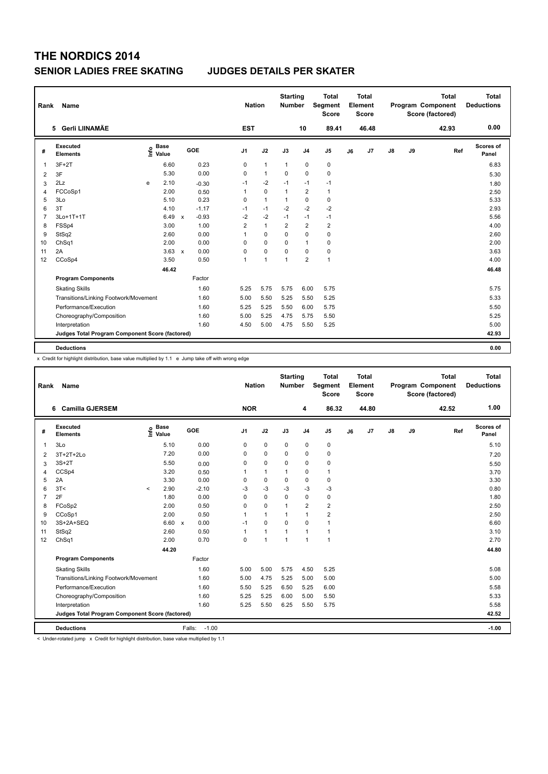| Rank           | <b>Name</b>                                     |   |                                    |              |         | <b>Nation</b>  |              | <b>Starting</b><br><b>Number</b> |                | <b>Total</b><br>Segment<br><b>Score</b> |    | <b>Total</b><br>Element<br><b>Score</b> |               |    | <b>Total</b><br>Program Component<br>Score (factored) |     | <b>Total</b><br><b>Deductions</b> |
|----------------|-------------------------------------------------|---|------------------------------------|--------------|---------|----------------|--------------|----------------------------------|----------------|-----------------------------------------|----|-----------------------------------------|---------------|----|-------------------------------------------------------|-----|-----------------------------------|
|                | 5 Gerli LIINAMÄE                                |   |                                    |              |         | <b>EST</b>     |              |                                  | 10             | 89.41                                   |    | 46.48                                   |               |    | 42.93                                                 |     | 0.00                              |
| #              | Executed<br><b>Elements</b>                     |   | <b>Base</b><br>$\frac{6}{5}$ Value |              | GOE     | J <sub>1</sub> | J2           | J3                               | J <sub>4</sub> | J5                                      | J6 | J7                                      | $\mathsf{J}8$ | J9 |                                                       | Ref | <b>Scores of</b><br>Panel         |
| $\mathbf{1}$   | $3F+2T$                                         |   | 6.60                               |              | 0.23    | 0              | $\mathbf{1}$ | $\mathbf{1}$                     | 0              | 0                                       |    |                                         |               |    |                                                       |     | 6.83                              |
| 2              | 3F                                              |   | 5.30                               |              | 0.00    | $\Omega$       | $\mathbf{1}$ | $\Omega$                         | $\mathbf 0$    | 0                                       |    |                                         |               |    |                                                       |     | 5.30                              |
| 3              | 2Lz                                             | e | 2.10                               |              | $-0.30$ | $-1$           | $-2$         | $-1$                             | $-1$           | $-1$                                    |    |                                         |               |    |                                                       |     | 1.80                              |
| 4              | FCCoSp1                                         |   | 2.00                               |              | 0.50    | $\mathbf{1}$   | $\mathbf 0$  | $\mathbf{1}$                     | $\overline{2}$ | $\mathbf{1}$                            |    |                                         |               |    |                                                       |     | 2.50                              |
| 5              | 3Lo                                             |   | 5.10                               |              | 0.23    | 0              | $\mathbf{1}$ | 1                                | $\mathbf 0$    | $\mathbf 0$                             |    |                                         |               |    |                                                       |     | 5.33                              |
| 6              | 3T                                              |   | 4.10                               |              | $-1.17$ | $-1$           | $-1$         | $-2$                             | $-2$           | $-2$                                    |    |                                         |               |    |                                                       |     | 2.93                              |
| $\overline{7}$ | 3Lo+1T+1T                                       |   | 6.49                               | $\mathsf{x}$ | $-0.93$ | $-2$           | $-2$         | $-1$                             | $-1$           | $-1$                                    |    |                                         |               |    |                                                       |     | 5.56                              |
| 8              | FSSp4                                           |   | 3.00                               |              | 1.00    | $\overline{2}$ | $\mathbf{1}$ | 2                                | $\overline{2}$ | $\overline{2}$                          |    |                                         |               |    |                                                       |     | 4.00                              |
| 9              | StSq2                                           |   | 2.60                               |              | 0.00    | $\mathbf{1}$   | $\mathbf 0$  | $\mathbf 0$                      | $\mathbf 0$    | $\pmb{0}$                               |    |                                         |               |    |                                                       |     | 2.60                              |
| 10             | ChSq1                                           |   | 2.00                               |              | 0.00    | 0              | $\mathbf 0$  | 0                                | $\mathbf{1}$   | $\mathbf 0$                             |    |                                         |               |    |                                                       |     | 2.00                              |
| 11             | 2A                                              |   | 3.63                               | $\mathsf{x}$ | 0.00    | 0              | $\pmb{0}$    | 0                                | 0              | 0                                       |    |                                         |               |    |                                                       |     | 3.63                              |
| 12             | CCoSp4                                          |   | 3.50                               |              | 0.50    | $\mathbf{1}$   | $\mathbf{1}$ | $\mathbf{1}$                     | $\overline{2}$ | $\mathbf{1}$                            |    |                                         |               |    |                                                       |     | 4.00                              |
|                |                                                 |   | 46.42                              |              |         |                |              |                                  |                |                                         |    |                                         |               |    |                                                       |     | 46.48                             |
|                | <b>Program Components</b>                       |   |                                    |              | Factor  |                |              |                                  |                |                                         |    |                                         |               |    |                                                       |     |                                   |
|                | <b>Skating Skills</b>                           |   |                                    |              | 1.60    | 5.25           | 5.75         | 5.75                             | 6.00           | 5.75                                    |    |                                         |               |    |                                                       |     | 5.75                              |
|                | Transitions/Linking Footwork/Movement           |   |                                    |              | 1.60    | 5.00           | 5.50         | 5.25                             | 5.50           | 5.25                                    |    |                                         |               |    |                                                       |     | 5.33                              |
|                | Performance/Execution                           |   |                                    |              | 1.60    | 5.25           | 5.25         | 5.50                             | 6.00           | 5.75                                    |    |                                         |               |    |                                                       |     | 5.50                              |
|                | Choreography/Composition                        |   |                                    |              | 1.60    | 5.00           | 5.25         | 4.75                             | 5.75           | 5.50                                    |    |                                         |               |    |                                                       |     | 5.25                              |
|                | Interpretation                                  |   |                                    |              | 1.60    | 4.50           | 5.00         | 4.75                             | 5.50           | 5.25                                    |    |                                         |               |    |                                                       |     | 5.00                              |
|                | Judges Total Program Component Score (factored) |   |                                    |              |         |                |              |                                  |                |                                         |    |                                         |               |    |                                                       |     | 42.93                             |
|                |                                                 |   |                                    |              |         |                |              |                                  |                |                                         |    |                                         |               |    |                                                       |     |                                   |
|                | <b>Deductions</b>                               |   |                                    |              |         |                |              |                                  |                |                                         |    |                                         |               |    |                                                       |     | 0.00                              |

x Credit for highlight distribution, base value multiplied by 1.1 e Jump take off with wrong edge

| Rank           | Name                                            |         |                                  |                   |                | <b>Nation</b>  |                | <b>Starting</b><br><b>Number</b> |                | <b>Total</b><br>Segment<br><b>Score</b> |    | <b>Total</b><br>Element<br>Score |    |    | <b>Total</b><br>Program Component<br>Score (factored) |     | <b>Total</b><br><b>Deductions</b> |
|----------------|-------------------------------------------------|---------|----------------------------------|-------------------|----------------|----------------|----------------|----------------------------------|----------------|-----------------------------------------|----|----------------------------------|----|----|-------------------------------------------------------|-----|-----------------------------------|
|                | <b>Camilla GJERSEM</b><br>6                     |         |                                  |                   | <b>NOR</b>     |                |                |                                  | 4              | 86.32                                   |    | 44.80                            |    |    | 42.52                                                 |     | 1.00                              |
| #              | Executed<br><b>Elements</b>                     |         | <b>Base</b><br>e Base<br>⊆ Value | GOE               | J <sub>1</sub> | J2             | J3             |                                  | J <sub>4</sub> | J <sub>5</sub>                          | J6 | J7                               | J8 | J9 |                                                       | Ref | Scores of<br>Panel                |
| 1              | 3Lo                                             |         | 5.10                             | 0.00              | 0              | $\mathbf 0$    | $\mathbf 0$    |                                  | $\mathbf 0$    | $\pmb{0}$                               |    |                                  |    |    |                                                       |     | 5.10                              |
| $\overline{2}$ | 3T+2T+2Lo                                       |         | 7.20                             | 0.00              | 0              | $\mathbf 0$    | $\mathbf 0$    |                                  | $\mathbf 0$    | $\pmb{0}$                               |    |                                  |    |    |                                                       |     | 7.20                              |
| 3              | $3S+2T$                                         |         | 5.50                             | 0.00              | 0              | $\mathbf 0$    | 0              |                                  | 0              | 0                                       |    |                                  |    |    |                                                       |     | 5.50                              |
| $\overline{4}$ | CCSp4                                           |         | 3.20                             | 0.50              | 1              | $\mathbf{1}$   | 1              |                                  | 0              | 1                                       |    |                                  |    |    |                                                       |     | 3.70                              |
| 5              | 2A                                              |         | 3.30                             | 0.00              | 0              | $\mathbf 0$    | $\Omega$       |                                  | 0              | $\mathbf 0$                             |    |                                  |    |    |                                                       |     | 3.30                              |
| 6              | 3T<                                             | $\prec$ | 2.90                             | $-2.10$           | $-3$           | $-3$           | $-3$           |                                  | $-3$           | $-3$                                    |    |                                  |    |    |                                                       |     | 0.80                              |
| $\overline{7}$ | 2F                                              |         | 1.80                             | 0.00              | 0              | $\mathbf 0$    | $\mathbf 0$    |                                  | $\mathbf 0$    | $\mathbf 0$                             |    |                                  |    |    |                                                       |     | 1.80                              |
| 8              | FCoSp2                                          |         | 2.00                             | 0.50              | 0              | $\mathbf 0$    | $\overline{1}$ |                                  | $\overline{2}$ | $\overline{2}$                          |    |                                  |    |    |                                                       |     | 2.50                              |
| 9              | CCoSp1                                          |         | 2.00                             | 0.50              | 1              | $\mathbf{1}$   | 1              |                                  | $\overline{1}$ | $\overline{2}$                          |    |                                  |    |    |                                                       |     | 2.50                              |
| 10             | 3S+2A+SEQ                                       |         | 6.60 x                           | 0.00              | $-1$           | $\Omega$       | $\Omega$       |                                  | $\Omega$       | $\overline{1}$                          |    |                                  |    |    |                                                       |     | 6.60                              |
| 11             | StSq2                                           |         | 2.60                             | 0.50              | 1              | $\overline{1}$ | $\mathbf{1}$   |                                  | $\overline{1}$ | $\mathbf{1}$                            |    |                                  |    |    |                                                       |     | 3.10                              |
| 12             | ChSq1                                           |         | 2.00                             | 0.70              | 0              | $\overline{1}$ | $\overline{1}$ |                                  | $\overline{1}$ | $\mathbf{1}$                            |    |                                  |    |    |                                                       |     | 2.70                              |
|                |                                                 |         | 44.20                            |                   |                |                |                |                                  |                |                                         |    |                                  |    |    |                                                       |     | 44.80                             |
|                | <b>Program Components</b>                       |         |                                  | Factor            |                |                |                |                                  |                |                                         |    |                                  |    |    |                                                       |     |                                   |
|                | <b>Skating Skills</b>                           |         |                                  | 1.60              | 5.00           | 5.00           |                | 5.75                             | 4.50           | 5.25                                    |    |                                  |    |    |                                                       |     | 5.08                              |
|                | Transitions/Linking Footwork/Movement           |         |                                  | 1.60              | 5.00           | 4.75           |                | 5.25                             | 5.00           | 5.00                                    |    |                                  |    |    |                                                       |     | 5.00                              |
|                | Performance/Execution                           |         |                                  | 1.60              | 5.50           | 5.25           |                | 6.50                             | 5.25           | 6.00                                    |    |                                  |    |    |                                                       |     | 5.58                              |
|                | Choreography/Composition                        |         |                                  | 1.60              | 5.25           | 5.25           |                | 6.00                             | 5.00           | 5.50                                    |    |                                  |    |    |                                                       |     | 5.33                              |
|                | Interpretation                                  |         |                                  | 1.60              | 5.25           | 5.50           |                | 6.25                             | 5.50           | 5.75                                    |    |                                  |    |    |                                                       |     | 5.58                              |
|                | Judges Total Program Component Score (factored) |         |                                  |                   |                |                |                |                                  |                |                                         |    |                                  |    |    |                                                       |     | 42.52                             |
|                | <b>Deductions</b>                               |         |                                  | $-1.00$<br>Falls: |                |                |                |                                  |                |                                         |    |                                  |    |    |                                                       |     | $-1.00$                           |

< Under-rotated jump x Credit for highlight distribution, base value multiplied by 1.1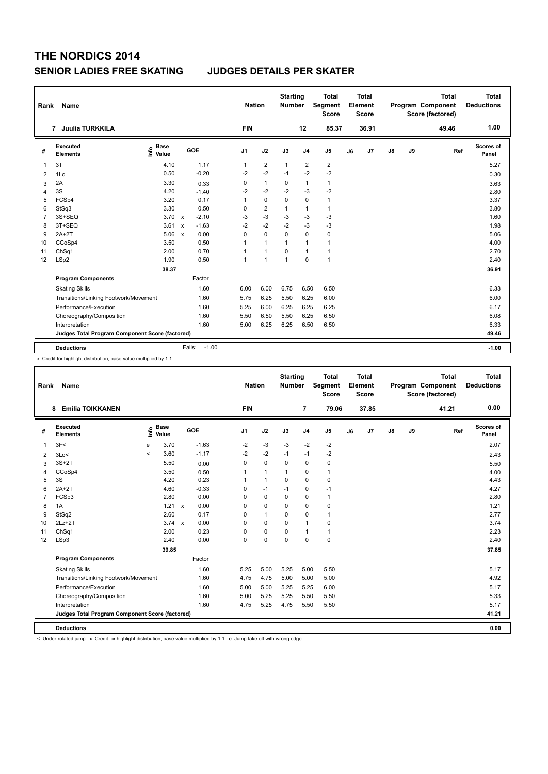| Rank           | Name                                            |                              |                           |         | <b>Nation</b>  |                | <b>Starting</b><br><b>Number</b> |                | <b>Total</b><br>Segment<br><b>Score</b> |    | <b>Total</b><br>Element<br><b>Score</b> |               |    | <b>Total</b><br>Program Component<br>Score (factored) | <b>Total</b><br><b>Deductions</b> |
|----------------|-------------------------------------------------|------------------------------|---------------------------|---------|----------------|----------------|----------------------------------|----------------|-----------------------------------------|----|-----------------------------------------|---------------|----|-------------------------------------------------------|-----------------------------------|
|                | 7 Juulia TURKKILA                               |                              |                           |         | <b>FIN</b>     |                |                                  | 12             | 85.37                                   |    | 36.91                                   |               |    | 49.46                                                 | 1.00                              |
| #              | Executed<br><b>Elements</b>                     | <b>Base</b><br>lnfo<br>Value |                           | GOE     | J <sub>1</sub> | J2             | J3                               | J <sub>4</sub> | J <sub>5</sub>                          | J6 | J7                                      | $\mathsf{J}8$ | J9 | Ref                                                   | <b>Scores of</b><br>Panel         |
| 1              | 3T                                              | 4.10                         |                           | 1.17    | $\mathbf{1}$   | $\overline{2}$ | $\mathbf{1}$                     | $\overline{2}$ | $\overline{2}$                          |    |                                         |               |    |                                                       | 5.27                              |
| 2              | 1Lo                                             | 0.50                         |                           | $-0.20$ | $-2$           | $-2$           | $-1$                             | $-2$           | $-2$                                    |    |                                         |               |    |                                                       | 0.30                              |
| 3              | 2A                                              | 3.30                         |                           | 0.33    | 0              | $\mathbf{1}$   | 0                                | $\mathbf{1}$   | $\mathbf{1}$                            |    |                                         |               |    |                                                       | 3.63                              |
| 4              | 3S                                              | 4.20                         |                           | $-1.40$ | $-2$           | $-2$           | $-2$                             | $-3$           | $-2$                                    |    |                                         |               |    |                                                       | 2.80                              |
| 5              | FCSp4                                           | 3.20                         |                           | 0.17    | 1              | $\mathbf 0$    | $\mathbf 0$                      | $\mathbf 0$    | $\mathbf{1}$                            |    |                                         |               |    |                                                       | 3.37                              |
| 6              | StSq3                                           | 3.30                         |                           | 0.50    | 0              | $\overline{2}$ | $\mathbf{1}$                     | $\mathbf{1}$   | $\mathbf{1}$                            |    |                                         |               |    |                                                       | 3.80                              |
| $\overline{7}$ | 3S+SEQ                                          | 3.70                         | $\mathsf{x}$              | $-2.10$ | $-3$           | $-3$           | $-3$                             | $-3$           | -3                                      |    |                                         |               |    |                                                       | 1.60                              |
| 8              | 3T+SEQ                                          | 3.61                         | $\boldsymbol{\mathsf{x}}$ | $-1.63$ | $-2$           | $-2$           | $-2$                             | $-3$           | $-3$                                    |    |                                         |               |    |                                                       | 1.98                              |
| 9              | $2A+2T$                                         | 5.06                         | $\boldsymbol{\mathsf{x}}$ | 0.00    | 0              | $\mathbf 0$    | $\Omega$                         | $\mathbf 0$    | 0                                       |    |                                         |               |    |                                                       | 5.06                              |
| 10             | CCoSp4                                          | 3.50                         |                           | 0.50    | 1              | $\mathbf{1}$   | $\mathbf{1}$                     | $\mathbf{1}$   | $\mathbf{1}$                            |    |                                         |               |    |                                                       | 4.00                              |
| 11             | Ch <sub>Sq1</sub>                               | 2.00                         |                           | 0.70    | 1              | $\overline{1}$ | $\Omega$                         | $\mathbf{1}$   | $\mathbf{1}$                            |    |                                         |               |    |                                                       | 2.70                              |
| 12             | LSp2                                            | 1.90                         |                           | 0.50    | 1              | $\overline{1}$ | $\overline{1}$                   | $\Omega$       | $\mathbf{1}$                            |    |                                         |               |    |                                                       | 2.40                              |
|                |                                                 | 38.37                        |                           |         |                |                |                                  |                |                                         |    |                                         |               |    |                                                       | 36.91                             |
|                | <b>Program Components</b>                       |                              |                           | Factor  |                |                |                                  |                |                                         |    |                                         |               |    |                                                       |                                   |
|                | <b>Skating Skills</b>                           |                              |                           | 1.60    | 6.00           | 6.00           | 6.75                             | 6.50           | 6.50                                    |    |                                         |               |    |                                                       | 6.33                              |
|                | Transitions/Linking Footwork/Movement           |                              |                           | 1.60    | 5.75           | 6.25           | 5.50                             | 6.25           | 6.00                                    |    |                                         |               |    |                                                       | 6.00                              |
|                | Performance/Execution                           |                              |                           | 1.60    | 5.25           | 6.00           | 6.25                             | 6.25           | 6.25                                    |    |                                         |               |    |                                                       | 6.17                              |
|                | Choreography/Composition                        |                              |                           | 1.60    | 5.50           | 6.50           | 5.50                             | 6.25           | 6.50                                    |    |                                         |               |    |                                                       | 6.08                              |
|                | Interpretation                                  |                              |                           | 1.60    | 5.00           | 6.25           | 6.25                             | 6.50           | 6.50                                    |    |                                         |               |    |                                                       | 6.33                              |
|                | Judges Total Program Component Score (factored) |                              |                           |         |                |                |                                  |                |                                         |    |                                         |               |    |                                                       | 49.46                             |
|                |                                                 |                              |                           |         |                |                |                                  |                |                                         |    |                                         |               |    |                                                       |                                   |
|                | <b>Deductions</b>                               |                              | Falls:                    | $-1.00$ |                |                |                                  |                |                                         |    |                                         |               |    |                                                       | $-1.00$                           |

x Credit for highlight distribution, base value multiplied by 1.1

| Rank           | Name                                            |       |                      |     |         |                | <b>Nation</b> | <b>Starting</b><br><b>Number</b> |                | <b>Total</b><br>Segment<br><b>Score</b> |    | <b>Total</b><br>Element<br><b>Score</b> |    |    | <b>Total</b><br><b>Program Component</b><br>Score (factored) | <b>Total</b><br><b>Deductions</b> |
|----------------|-------------------------------------------------|-------|----------------------|-----|---------|----------------|---------------|----------------------------------|----------------|-----------------------------------------|----|-----------------------------------------|----|----|--------------------------------------------------------------|-----------------------------------|
|                | <b>Emilia TOIKKANEN</b><br>8                    |       |                      |     |         | <b>FIN</b>     |               |                                  | 7              | 79.06                                   |    | 37.85                                   |    |    | 41.21                                                        | 0.00                              |
| #              | Executed<br><b>Elements</b>                     | ١nf٥  | <b>Base</b><br>Value | GOE |         | J <sub>1</sub> | J2            | J3                               | J <sub>4</sub> | J <sub>5</sub>                          | J6 | J7                                      | J8 | J9 | Ref                                                          | Scores of<br>Panel                |
| 1              | 3F<                                             | e     | 3.70                 |     | $-1.63$ | -2             | $-3$          | $-3$                             | $-2$           | -2                                      |    |                                         |    |    |                                                              | 2.07                              |
| $\overline{2}$ | 3Lo<                                            | $\,<$ | 3.60                 |     | $-1.17$ | $-2$           | $-2$          | $-1$                             | $-1$           | $-2$                                    |    |                                         |    |    |                                                              | 2.43                              |
| 3              | $3S+2T$                                         |       | 5.50                 |     | 0.00    | 0              | $\mathbf 0$   | 0                                | $\pmb{0}$      | $\pmb{0}$                               |    |                                         |    |    |                                                              | 5.50                              |
| $\overline{4}$ | CCoSp4                                          |       | 3.50                 |     | 0.50    | 1              | $\mathbf{1}$  | $\mathbf 1$                      | 0              | $\mathbf{1}$                            |    |                                         |    |    |                                                              | 4.00                              |
| 5              | 3S                                              |       | 4.20                 |     | 0.23    | 1              | $\mathbf{1}$  | $\Omega$                         | $\mathbf 0$    | $\mathbf 0$                             |    |                                         |    |    |                                                              | 4.43                              |
| 6              | $2A+2T$                                         |       | 4.60                 |     | $-0.33$ | 0              | $-1$          | $-1$                             | $\pmb{0}$      | $-1$                                    |    |                                         |    |    |                                                              | 4.27                              |
| $\overline{7}$ | FCSp3                                           |       | 2.80                 |     | 0.00    | 0              | $\mathbf 0$   | 0                                | $\mathbf 0$    | $\mathbf{1}$                            |    |                                         |    |    |                                                              | 2.80                              |
| 8              | 1A                                              |       | 1.21 x               |     | 0.00    | 0              | $\mathbf 0$   | 0                                | $\mathbf 0$    | $\pmb{0}$                               |    |                                         |    |    |                                                              | 1.21                              |
| 9              | StSq2                                           |       | 2.60                 |     | 0.17    | 0              | $\mathbf{1}$  | $\Omega$                         | $\Omega$       | $\mathbf{1}$                            |    |                                         |    |    |                                                              | 2.77                              |
| 10             | $2Lz+2T$                                        |       | $3.74 \times$        |     | 0.00    | 0              | $\Omega$      | $\Omega$                         | $\mathbf{1}$   | 0                                       |    |                                         |    |    |                                                              | 3.74                              |
| 11             | ChSq1                                           |       | 2.00                 |     | 0.23    | 0              | $\mathbf 0$   | $\mathbf 0$                      | $\overline{1}$ | $\mathbf{1}$                            |    |                                         |    |    |                                                              | 2.23                              |
| 12             | LSp3                                            |       | 2.40                 |     | 0.00    | 0              | $\mathbf 0$   | $\Omega$                         | $\mathbf 0$    | $\mathbf 0$                             |    |                                         |    |    |                                                              | 2.40                              |
|                |                                                 |       | 39.85                |     |         |                |               |                                  |                |                                         |    |                                         |    |    |                                                              | 37.85                             |
|                | <b>Program Components</b>                       |       |                      |     | Factor  |                |               |                                  |                |                                         |    |                                         |    |    |                                                              |                                   |
|                | <b>Skating Skills</b>                           |       |                      |     | 1.60    | 5.25           | 5.00          | 5.25                             | 5.00           | 5.50                                    |    |                                         |    |    |                                                              | 5.17                              |
|                | Transitions/Linking Footwork/Movement           |       |                      |     | 1.60    | 4.75           | 4.75          | 5.00                             | 5.00           | 5.00                                    |    |                                         |    |    |                                                              | 4.92                              |
|                | Performance/Execution                           |       |                      |     | 1.60    | 5.00           | 5.00          | 5.25                             | 5.25           | 6.00                                    |    |                                         |    |    |                                                              | 5.17                              |
|                | Choreography/Composition                        |       |                      |     | 1.60    | 5.00           | 5.25          | 5.25                             | 5.50           | 5.50                                    |    |                                         |    |    |                                                              | 5.33                              |
|                | Interpretation                                  |       |                      |     | 1.60    | 4.75           | 5.25          | 4.75                             | 5.50           | 5.50                                    |    |                                         |    |    |                                                              | 5.17                              |
|                | Judges Total Program Component Score (factored) |       |                      |     |         |                |               |                                  |                |                                         |    |                                         |    |    |                                                              | 41.21                             |
|                | <b>Deductions</b>                               |       |                      |     |         |                |               |                                  |                |                                         |    |                                         |    |    |                                                              | 0.00                              |

< Under-rotated jump x Credit for highlight distribution, base value multiplied by 1.1 e Jump take off with wrong edge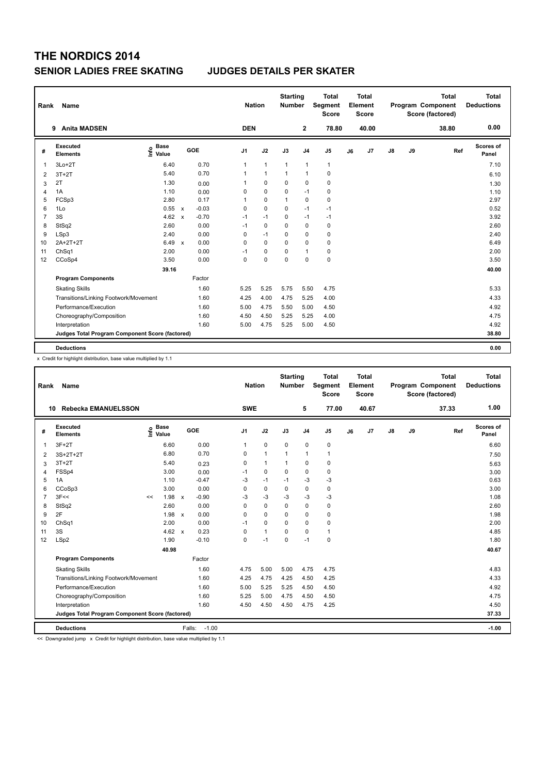| Rank           | <b>Name</b>                                     |                                  |                           |         | <b>Nation</b>  |              | <b>Starting</b><br><b>Number</b> |                | <b>Total</b><br>Segment<br><b>Score</b> |    | <b>Total</b><br>Element<br><b>Score</b> |               |    | <b>Total</b><br>Program Component<br>Score (factored) | <b>Total</b><br><b>Deductions</b> |
|----------------|-------------------------------------------------|----------------------------------|---------------------------|---------|----------------|--------------|----------------------------------|----------------|-----------------------------------------|----|-----------------------------------------|---------------|----|-------------------------------------------------------|-----------------------------------|
|                | <b>Anita MADSEN</b><br>9                        |                                  |                           |         | <b>DEN</b>     |              |                                  | $\overline{2}$ | 78.80                                   |    | 40.00                                   |               |    | 38.80                                                 | 0.00                              |
| #              | Executed<br><b>Elements</b>                     | <b>Base</b><br>e Base<br>E Value |                           | GOE     | J <sub>1</sub> | J2           | J3                               | J <sub>4</sub> | J5                                      | J6 | J7                                      | $\mathsf{J}8$ | J9 | Ref                                                   | Scores of<br>Panel                |
| $\mathbf{1}$   | $3Lo+2T$                                        | 6.40                             |                           | 0.70    | 1              | $\mathbf{1}$ | $\mathbf{1}$                     | $\mathbf{1}$   | $\mathbf{1}$                            |    |                                         |               |    |                                                       | 7.10                              |
| 2              | $3T+2T$                                         | 5.40                             |                           | 0.70    | $\mathbf{1}$   | $\mathbf{1}$ | $\mathbf{1}$                     | $\mathbf{1}$   | 0                                       |    |                                         |               |    |                                                       | 6.10                              |
| 3              | 2T                                              | 1.30                             |                           | 0.00    | 1              | $\mathbf 0$  | $\Omega$                         | $\mathbf 0$    | $\mathbf 0$                             |    |                                         |               |    |                                                       | 1.30                              |
| 4              | 1A                                              | 1.10                             |                           | 0.00    | 0              | $\mathbf 0$  | $\mathbf 0$                      | $-1$           | $\mathbf 0$                             |    |                                         |               |    |                                                       | 1.10                              |
| 5              | FCSp3                                           | 2.80                             |                           | 0.17    | 1              | $\mathbf 0$  | $\mathbf{1}$                     | $\mathbf 0$    | $\mathbf 0$                             |    |                                         |               |    |                                                       | 2.97                              |
| 6              | 1Lo                                             | 0.55 x                           |                           | $-0.03$ | 0              | $\mathbf 0$  | $\Omega$                         | $-1$           | $-1$                                    |    |                                         |               |    |                                                       | 0.52                              |
| $\overline{7}$ | 3S                                              | 4.62                             | $\mathsf{x}$              | $-0.70$ | $-1$           | $-1$         | 0                                | $-1$           | $-1$                                    |    |                                         |               |    |                                                       | 3.92                              |
| 8              | StSq2                                           | 2.60                             |                           | 0.00    | $-1$           | $\mathbf 0$  | $\Omega$                         | $\mathbf 0$    | $\mathbf 0$                             |    |                                         |               |    |                                                       | 2.60                              |
| 9              | LSp3                                            | 2.40                             |                           | 0.00    | 0              | $-1$         | $\mathbf 0$                      | $\mathbf 0$    | $\pmb{0}$                               |    |                                         |               |    |                                                       | 2.40                              |
| 10             | 2A+2T+2T                                        | 6.49                             | $\boldsymbol{\mathsf{x}}$ | 0.00    | $\mathbf 0$    | $\mathbf 0$  | $\Omega$                         | $\mathbf 0$    | $\mathbf 0$                             |    |                                         |               |    |                                                       | 6.49                              |
| 11             | Ch <sub>Sq1</sub>                               | 2.00                             |                           | 0.00    | $-1$           | 0            | $\Omega$                         | $\mathbf{1}$   | 0                                       |    |                                         |               |    |                                                       | 2.00                              |
| 12             | CCoSp4                                          | 3.50                             |                           | 0.00    | $\mathbf 0$    | $\mathbf 0$  | $\Omega$                         | $\mathbf 0$    | $\pmb{0}$                               |    |                                         |               |    |                                                       | 3.50                              |
|                |                                                 | 39.16                            |                           |         |                |              |                                  |                |                                         |    |                                         |               |    |                                                       | 40.00                             |
|                | <b>Program Components</b>                       |                                  |                           | Factor  |                |              |                                  |                |                                         |    |                                         |               |    |                                                       |                                   |
|                | <b>Skating Skills</b>                           |                                  |                           | 1.60    | 5.25           | 5.25         | 5.75                             | 5.50           | 4.75                                    |    |                                         |               |    |                                                       | 5.33                              |
|                | Transitions/Linking Footwork/Movement           |                                  |                           | 1.60    | 4.25           | 4.00         | 4.75                             | 5.25           | 4.00                                    |    |                                         |               |    |                                                       | 4.33                              |
|                | Performance/Execution                           |                                  |                           | 1.60    | 5.00           | 4.75         | 5.50                             | 5.00           | 4.50                                    |    |                                         |               |    |                                                       | 4.92                              |
|                | Choreography/Composition                        |                                  |                           | 1.60    | 4.50           | 4.50         | 5.25                             | 5.25           | 4.00                                    |    |                                         |               |    |                                                       | 4.75                              |
|                | Interpretation                                  |                                  |                           | 1.60    | 5.00           | 4.75         | 5.25                             | 5.00           | 4.50                                    |    |                                         |               |    |                                                       | 4.92                              |
|                | Judges Total Program Component Score (factored) |                                  |                           |         |                |              |                                  |                |                                         |    |                                         |               |    |                                                       | 38.80                             |
|                |                                                 |                                  |                           |         |                |              |                                  |                |                                         |    |                                         |               |    |                                                       |                                   |
|                | <b>Deductions</b>                               |                                  |                           |         |                |              |                                  |                |                                         |    |                                         |               |    |                                                       | 0.00                              |

x Credit for highlight distribution, base value multiplied by 1.1

| Rank           | <b>Name</b>                                     |      |                      |              |                   | <b>Nation</b>  |                | <b>Starting</b><br><b>Number</b> |                | <b>Total</b><br>Segment<br><b>Score</b> |    | <b>Total</b><br>Element<br><b>Score</b> |               |    | <b>Total</b><br>Program Component<br>Score (factored) | <b>Total</b><br><b>Deductions</b> |
|----------------|-------------------------------------------------|------|----------------------|--------------|-------------------|----------------|----------------|----------------------------------|----------------|-----------------------------------------|----|-----------------------------------------|---------------|----|-------------------------------------------------------|-----------------------------------|
|                | <b>Rebecka EMANUELSSON</b><br>10                |      |                      |              |                   | <b>SWE</b>     |                |                                  | 5              | 77.00                                   |    | 40.67                                   |               |    | 37.33                                                 | 1.00                              |
| #              | Executed<br><b>Elements</b>                     | ١nfo | <b>Base</b><br>Value |              | GOE               | J <sub>1</sub> | J2             | J3                               | J <sub>4</sub> | J <sub>5</sub>                          | J6 | J7                                      | $\mathsf{J}8$ | J9 | Ref                                                   | Scores of<br>Panel                |
| $\mathbf 1$    | $3F+2T$                                         |      | 6.60                 |              | 0.00              | 1              | $\mathbf 0$    | $\mathbf 0$                      | $\mathbf 0$    | $\pmb{0}$                               |    |                                         |               |    |                                                       | 6.60                              |
| $\overline{2}$ | $3S+2T+2T$                                      |      | 6.80                 |              | 0.70              | 0              | $\overline{1}$ | 1                                | $\overline{1}$ | $\mathbf{1}$                            |    |                                         |               |    |                                                       | 7.50                              |
| 3              | $3T+2T$                                         |      | 5.40                 |              | 0.23              | 0              | $\mathbf{1}$   | $\mathbf{1}$                     | 0              | 0                                       |    |                                         |               |    |                                                       | 5.63                              |
| $\overline{4}$ | FSSp4                                           |      | 3.00                 |              | 0.00              | $-1$           | $\mathbf 0$    | $\Omega$                         | $\Omega$       | $\pmb{0}$                               |    |                                         |               |    |                                                       | 3.00                              |
| 5              | 1A                                              |      | 1.10                 |              | $-0.47$           | $-3$           | $-1$           | $-1$                             | $-3$           | $-3$                                    |    |                                         |               |    |                                                       | 0.63                              |
| 6              | CCoSp3                                          |      | 3.00                 |              | 0.00              | 0              | $\mathbf 0$    | 0                                | $\mathbf 0$    | $\pmb{0}$                               |    |                                         |               |    |                                                       | 3.00                              |
| $\overline{7}$ | 3F<<                                            | <<   | 1.98                 | $\mathsf{x}$ | $-0.90$           | -3             | $-3$           | $-3$                             | $-3$           | $-3$                                    |    |                                         |               |    |                                                       | 1.08                              |
| 8              | StSq2                                           |      | 2.60                 |              | 0.00              | 0              | $\mathbf 0$    | $\Omega$                         | 0              | 0                                       |    |                                         |               |    |                                                       | 2.60                              |
| 9              | 2F                                              |      | 1.98                 | $\mathsf{x}$ | 0.00              | 0              | $\mathbf 0$    | $\Omega$                         | $\mathbf 0$    | $\mathbf 0$                             |    |                                         |               |    |                                                       | 1.98                              |
| 10             | ChSq1                                           |      | 2.00                 |              | 0.00              | $-1$           | $\Omega$       | $\Omega$                         | $\Omega$       | $\pmb{0}$                               |    |                                         |               |    |                                                       | 2.00                              |
| 11             | 3S                                              |      | 4.62 $\times$        |              | 0.23              | 0              | $\mathbf{1}$   | $\Omega$                         | $\mathbf 0$    | $\mathbf{1}$                            |    |                                         |               |    |                                                       | 4.85                              |
| 12             | LSp2                                            |      | 1.90                 |              | $-0.10$           | 0              | $-1$           | $\Omega$                         | $-1$           | $\mathbf 0$                             |    |                                         |               |    |                                                       | 1.80                              |
|                |                                                 |      | 40.98                |              |                   |                |                |                                  |                |                                         |    |                                         |               |    |                                                       | 40.67                             |
|                | <b>Program Components</b>                       |      |                      |              | Factor            |                |                |                                  |                |                                         |    |                                         |               |    |                                                       |                                   |
|                | <b>Skating Skills</b>                           |      |                      |              | 1.60              | 4.75           | 5.00           | 5.00                             | 4.75           | 4.75                                    |    |                                         |               |    |                                                       | 4.83                              |
|                | Transitions/Linking Footwork/Movement           |      |                      |              | 1.60              | 4.25           | 4.75           | 4.25                             | 4.50           | 4.25                                    |    |                                         |               |    |                                                       | 4.33                              |
|                | Performance/Execution                           |      |                      |              | 1.60              | 5.00           | 5.25           | 5.25                             | 4.50           | 4.50                                    |    |                                         |               |    |                                                       | 4.92                              |
|                | Choreography/Composition                        |      |                      |              | 1.60              | 5.25           | 5.00           | 4.75                             | 4.50           | 4.50                                    |    |                                         |               |    |                                                       | 4.75                              |
|                | Interpretation                                  |      |                      |              | 1.60              | 4.50           | 4.50           | 4.50                             | 4.75           | 4.25                                    |    |                                         |               |    |                                                       | 4.50                              |
|                | Judges Total Program Component Score (factored) |      |                      |              |                   |                |                |                                  |                |                                         |    |                                         |               |    |                                                       | 37.33                             |
|                | <b>Deductions</b>                               |      |                      |              | $-1.00$<br>Falls: |                |                |                                  |                |                                         |    |                                         |               |    |                                                       | $-1.00$                           |

<< Downgraded jump x Credit for highlight distribution, base value multiplied by 1.1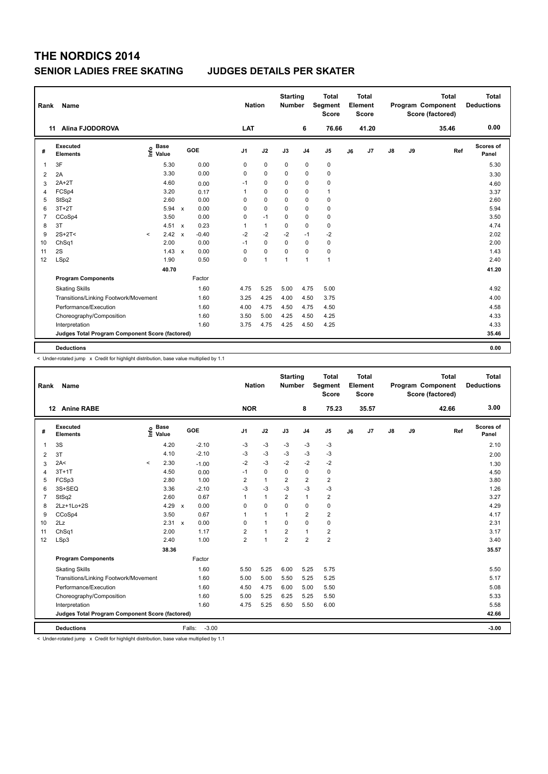| Rank           | <b>Name</b>                                     |                                  |        |                                      |                | <b>Nation</b> | <b>Starting</b><br><b>Number</b> |                | <b>Total</b><br>Segment<br><b>Score</b> |    | <b>Total</b><br>Element<br><b>Score</b> |               |    | Total<br>Program Component<br>Score (factored) | <b>Total</b><br><b>Deductions</b> |
|----------------|-------------------------------------------------|----------------------------------|--------|--------------------------------------|----------------|---------------|----------------------------------|----------------|-----------------------------------------|----|-----------------------------------------|---------------|----|------------------------------------------------|-----------------------------------|
|                | <b>Alina FJODOROVA</b><br>11                    |                                  |        |                                      | LAT            |               |                                  | 6              | 76.66                                   |    | 41.20                                   |               |    | 35.46                                          | 0.00                              |
| #              | <b>Executed</b><br><b>Elements</b>              | <b>Base</b><br>e Base<br>E Value |        | GOE                                  | J <sub>1</sub> | J2            | J3                               | J <sub>4</sub> | J5                                      | J6 | J7                                      | $\mathsf{J}8$ | J9 | Ref                                            | <b>Scores of</b><br>Panel         |
| $\overline{1}$ | 3F                                              |                                  | 5.30   | 0.00                                 | 0              | 0             | 0                                | 0              | 0                                       |    |                                         |               |    |                                                | 5.30                              |
| 2              | 2A                                              |                                  | 3.30   | 0.00                                 | $\Omega$       | $\Omega$      | $\Omega$                         | $\mathbf 0$    | 0                                       |    |                                         |               |    |                                                | 3.30                              |
| 3              | $2A+2T$                                         |                                  | 4.60   | 0.00                                 | $-1$           | 0             | $\Omega$                         | $\mathbf 0$    | 0                                       |    |                                         |               |    |                                                | 4.60                              |
| 4              | FCSp4                                           |                                  | 3.20   | 0.17                                 | $\mathbf{1}$   | $\mathbf 0$   | 0                                | $\mathbf 0$    | $\mathbf{1}$                            |    |                                         |               |    |                                                | 3.37                              |
| 5              | StSq2                                           |                                  | 2.60   | 0.00                                 | 0              | $\mathbf 0$   | 0                                | $\mathbf 0$    | $\mathbf 0$                             |    |                                         |               |    |                                                | 2.60                              |
| 6              | $3T+2T$                                         |                                  | 5.94   | 0.00<br>$\mathsf{x}$                 | 0              | $\mathbf 0$   | $\Omega$                         | $\mathbf 0$    | $\pmb{0}$                               |    |                                         |               |    |                                                | 5.94                              |
| 7              | CCoSp4                                          |                                  | 3.50   | 0.00                                 | 0              | $-1$          | 0                                | $\mathbf 0$    | 0                                       |    |                                         |               |    |                                                | 3.50                              |
| 8              | 3T                                              |                                  | 4.51 x | 0.23                                 | 1              | $\mathbf{1}$  | 0                                | $\mathbf 0$    | $\mathbf 0$                             |    |                                         |               |    |                                                | 4.74                              |
| 9              | $2S+2T2$                                        | $\prec$                          | 2.42   | $-0.40$<br>$\boldsymbol{\mathsf{x}}$ | $-2$           | $-2$          | $-2$                             | $-1$           | $-2$                                    |    |                                         |               |    |                                                | 2.02                              |
| 10             | ChSq1                                           |                                  | 2.00   | 0.00                                 | $-1$           | $\mathbf 0$   | $\Omega$                         | $\mathbf 0$    | 0                                       |    |                                         |               |    |                                                | 2.00                              |
| 11             | 2S                                              |                                  | 1.43   | 0.00<br>$\mathsf{x}$                 | 0              | $\mathbf 0$   | $\mathbf 0$                      | $\mathbf 0$    | $\pmb{0}$                               |    |                                         |               |    |                                                | 1.43                              |
| 12             | LSp2                                            |                                  | 1.90   | 0.50                                 | $\mathbf 0$    | $\mathbf{1}$  | $\mathbf{1}$                     | $\mathbf{1}$   | $\mathbf{1}$                            |    |                                         |               |    |                                                | 2.40                              |
|                |                                                 |                                  | 40.70  |                                      |                |               |                                  |                |                                         |    |                                         |               |    |                                                | 41.20                             |
|                | <b>Program Components</b>                       |                                  |        | Factor                               |                |               |                                  |                |                                         |    |                                         |               |    |                                                |                                   |
|                | <b>Skating Skills</b>                           |                                  |        | 1.60                                 | 4.75           | 5.25          | 5.00                             | 4.75           | 5.00                                    |    |                                         |               |    |                                                | 4.92                              |
|                | Transitions/Linking Footwork/Movement           |                                  |        | 1.60                                 | 3.25           | 4.25          | 4.00                             | 4.50           | 3.75                                    |    |                                         |               |    |                                                | 4.00                              |
|                | Performance/Execution                           |                                  |        | 1.60                                 | 4.00           | 4.75          | 4.50                             | 4.75           | 4.50                                    |    |                                         |               |    |                                                | 4.58                              |
|                | Choreography/Composition                        |                                  |        | 1.60                                 | 3.50           | 5.00          | 4.25                             | 4.50           | 4.25                                    |    |                                         |               |    |                                                | 4.33                              |
|                | Interpretation                                  |                                  |        | 1.60                                 | 3.75           | 4.75          | 4.25                             | 4.50           | 4.25                                    |    |                                         |               |    |                                                | 4.33                              |
|                | Judges Total Program Component Score (factored) |                                  |        |                                      |                |               |                                  |                |                                         |    |                                         |               |    |                                                | 35.46                             |
|                |                                                 |                                  |        |                                      |                |               |                                  |                |                                         |    |                                         |               |    |                                                |                                   |
|                | <b>Deductions</b>                               |                                  |        |                                      |                |               |                                  |                |                                         |    |                                         |               |    |                                                | 0.00                              |

< Under-rotated jump x Credit for highlight distribution, base value multiplied by 1.1

| Rank | <b>Name</b>                                     |                   |             |                      |                | <b>Nation</b>  | <b>Starting</b><br>Number |                         | <b>Total</b><br>Segment<br><b>Score</b> |    | <b>Total</b><br>Element<br><b>Score</b> |               |    | <b>Total</b><br>Program Component<br>Score (factored) | <b>Total</b><br><b>Deductions</b> |
|------|-------------------------------------------------|-------------------|-------------|----------------------|----------------|----------------|---------------------------|-------------------------|-----------------------------------------|----|-----------------------------------------|---------------|----|-------------------------------------------------------|-----------------------------------|
|      | 12 Anine RABE                                   |                   |             |                      | <b>NOR</b>     |                |                           | 8                       | 75.23                                   |    | 35.57                                   |               |    | 42.66                                                 | 3.00                              |
| #    | Executed<br><b>Elements</b>                     | e Base<br>E Value | <b>Base</b> | GOE                  | J <sub>1</sub> | J2             | J3                        | J <sub>4</sub>          | J <sub>5</sub>                          | J6 | J7                                      | $\mathsf{J}8$ | J9 | Ref                                                   | Scores of<br>Panel                |
| 1    | 3S                                              |                   | 4.20        | $-2.10$              | -3             | $-3$           | -3                        | -3                      | -3                                      |    |                                         |               |    |                                                       | 2.10                              |
| 2    | 3T                                              |                   | 4.10        | $-2.10$              | $-3$           | $-3$           | -3                        | -3                      | -3                                      |    |                                         |               |    |                                                       | 2.00                              |
| 3    | 2A<                                             | $\prec$           | 2.30        | $-1.00$              | $-2$           | $-3$           | $-2$                      | $-2$                    | $-2$                                    |    |                                         |               |    |                                                       | 1.30                              |
| 4    | $3T+1T$                                         |                   | 4.50        | 0.00                 | $-1$           | 0              | $\Omega$                  | 0                       | 0                                       |    |                                         |               |    |                                                       | 4.50                              |
| 5    | FCSp3                                           |                   | 2.80        | 1.00                 | 2              | $\mathbf{1}$   | 2                         | $\overline{\mathbf{c}}$ | $\overline{2}$                          |    |                                         |               |    |                                                       | 3.80                              |
| 6    | 3S+SEQ                                          |                   | 3.36        | $-2.10$              | -3             | $-3$           | $-3$                      | $-3$                    | $-3$                                    |    |                                         |               |    |                                                       | 1.26                              |
| 7    | StSq2                                           |                   | 2.60        | 0.67                 | $\mathbf{1}$   | $\overline{1}$ | $\overline{2}$            | $\overline{1}$          | $\overline{2}$                          |    |                                         |               |    |                                                       | 3.27                              |
| 8    | 2Lz+1Lo+2S                                      |                   | 4.29        | 0.00<br>$\mathbf{x}$ | 0              | $\mathbf 0$    | $\Omega$                  | $\mathbf 0$             | $\pmb{0}$                               |    |                                         |               |    |                                                       | 4.29                              |
| 9    | CCoSp4                                          |                   | 3.50        | 0.67                 | 1              | $\overline{1}$ | $\mathbf{1}$              | $\overline{2}$          | $\overline{2}$                          |    |                                         |               |    |                                                       | 4.17                              |
| 10   | 2Lz                                             |                   | 2.31        | 0.00<br>$\mathbf{x}$ | 0              | $\overline{1}$ | 0                         | $\mathbf 0$             | $\pmb{0}$                               |    |                                         |               |    |                                                       | 2.31                              |
| 11   | ChSq1                                           |                   | 2.00        | 1.17                 | 2              | $\overline{1}$ | $\overline{\mathbf{c}}$   | $\mathbf{1}$            | $\overline{2}$                          |    |                                         |               |    |                                                       | 3.17                              |
| 12   | LSp3                                            |                   | 2.40        | 1.00                 | $\overline{2}$ | $\overline{1}$ | $\overline{2}$            | $\overline{2}$          | $\overline{2}$                          |    |                                         |               |    |                                                       | 3.40                              |
|      |                                                 |                   | 38.36       |                      |                |                |                           |                         |                                         |    |                                         |               |    |                                                       | 35.57                             |
|      | <b>Program Components</b>                       |                   |             | Factor               |                |                |                           |                         |                                         |    |                                         |               |    |                                                       |                                   |
|      | <b>Skating Skills</b>                           |                   |             | 1.60                 | 5.50           | 5.25           | 6.00                      | 5.25                    | 5.75                                    |    |                                         |               |    |                                                       | 5.50                              |
|      | Transitions/Linking Footwork/Movement           |                   |             | 1.60                 | 5.00           | 5.00           | 5.50                      | 5.25                    | 5.25                                    |    |                                         |               |    |                                                       | 5.17                              |
|      | Performance/Execution                           |                   |             | 1.60                 | 4.50           | 4.75           | 6.00                      | 5.00                    | 5.50                                    |    |                                         |               |    |                                                       | 5.08                              |
|      | Choreography/Composition                        |                   |             | 1.60                 | 5.00           | 5.25           | 6.25                      | 5.25                    | 5.50                                    |    |                                         |               |    |                                                       | 5.33                              |
|      | Interpretation                                  |                   |             | 1.60                 | 4.75           | 5.25           | 6.50                      | 5.50                    | 6.00                                    |    |                                         |               |    |                                                       | 5.58                              |
|      | Judges Total Program Component Score (factored) |                   |             |                      |                |                |                           |                         |                                         |    |                                         |               |    |                                                       | 42.66                             |
|      | <b>Deductions</b>                               |                   |             | Falls:               | $-3.00$        |                |                           |                         |                                         |    |                                         |               |    |                                                       | $-3.00$                           |

< Under-rotated jump x Credit for highlight distribution, base value multiplied by 1.1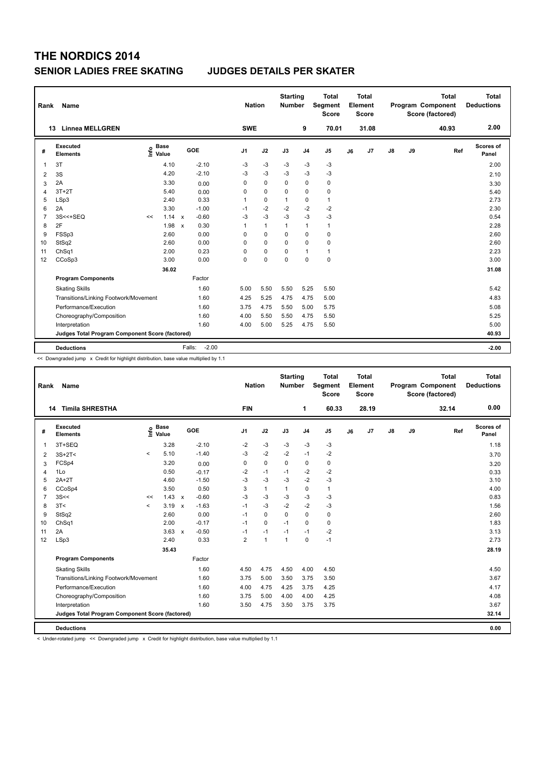| Rank           | Name                                            |                                    |                                   | <b>Nation</b>  |              | <b>Starting</b><br><b>Number</b> |                | <b>Total</b><br>Segment<br><b>Score</b> |    | Total<br>Element<br><b>Score</b> |    |    | <b>Total</b><br>Program Component<br>Score (factored) | Total<br><b>Deductions</b> |
|----------------|-------------------------------------------------|------------------------------------|-----------------------------------|----------------|--------------|----------------------------------|----------------|-----------------------------------------|----|----------------------------------|----|----|-------------------------------------------------------|----------------------------|
|                | <b>Linnea MELLGREN</b><br>13                    |                                    |                                   | <b>SWE</b>     |              |                                  | 9              | 70.01                                   |    | 31.08                            |    |    | 40.93                                                 | 2.00                       |
| #              | <b>Executed</b><br><b>Elements</b>              | <b>Base</b><br>$\frac{6}{5}$ Value | GOE                               | J <sub>1</sub> | J2           | J3                               | J <sub>4</sub> | J <sub>5</sub>                          | J6 | J7                               | J8 | J9 | Ref                                                   | <b>Scores of</b><br>Panel  |
| $\mathbf{1}$   | 3T                                              | 4.10                               | $-2.10$                           | -3             | $-3$         | $-3$                             | $-3$           | $-3$                                    |    |                                  |    |    |                                                       | 2.00                       |
| 2              | 3S                                              | 4.20                               | $-2.10$                           | $-3$           | $-3$         | $-3$                             | $-3$           | $-3$                                    |    |                                  |    |    |                                                       | 2.10                       |
| 3              | 2A                                              | 3.30                               | 0.00                              | 0              | $\pmb{0}$    | $\mathbf 0$                      | $\mathbf 0$    | 0                                       |    |                                  |    |    |                                                       | 3.30                       |
| $\overline{4}$ | $3T+2T$                                         | 5.40                               | 0.00                              | $\Omega$       | $\mathbf 0$  | $\Omega$                         | $\mathbf 0$    | $\pmb{0}$                               |    |                                  |    |    |                                                       | 5.40                       |
| 5              | LSp3                                            | 2.40                               | 0.33                              | 1              | $\mathbf 0$  | $\mathbf{1}$                     | $\mathbf 0$    | $\mathbf{1}$                            |    |                                  |    |    |                                                       | 2.73                       |
| 6              | 2A                                              | 3.30                               | $-1.00$                           | $-1$           | $-2$         | $-2$                             | $-2$           | $-2$                                    |    |                                  |    |    |                                                       | 2.30                       |
| $\overline{7}$ | $3S < +S EQ$                                    | 1.14<br><<                         | $-0.60$<br>$\mathsf{x}$           | -3             | $-3$         | -3                               | $-3$           | $-3$                                    |    |                                  |    |    |                                                       | 0.54                       |
| 8              | 2F                                              | 1.98                               | 0.30<br>$\boldsymbol{\mathsf{x}}$ | 1              | $\mathbf{1}$ | 1                                | $\mathbf{1}$   | $\mathbf{1}$                            |    |                                  |    |    |                                                       | 2.28                       |
| 9              | FSSp3                                           | 2.60                               | 0.00                              | 0              | $\mathbf 0$  | $\Omega$                         | $\mathbf 0$    | $\mathbf 0$                             |    |                                  |    |    |                                                       | 2.60                       |
| 10             | StSq2                                           | 2.60                               | 0.00                              | 0              | $\mathbf 0$  | $\mathbf 0$                      | $\mathbf 0$    | $\mathbf 0$                             |    |                                  |    |    |                                                       | 2.60                       |
| 11             | ChSq1                                           | 2.00                               | 0.23                              | 0              | 0            | 0                                | $\mathbf{1}$   | $\mathbf{1}$                            |    |                                  |    |    |                                                       | 2.23                       |
| 12             | CCoSp3                                          | 3.00                               | 0.00                              | $\Omega$       | $\mathbf 0$  | $\Omega$                         | $\mathbf 0$    | $\mathbf 0$                             |    |                                  |    |    |                                                       | 3.00                       |
|                |                                                 | 36.02                              |                                   |                |              |                                  |                |                                         |    |                                  |    |    |                                                       | 31.08                      |
|                | <b>Program Components</b>                       |                                    | Factor                            |                |              |                                  |                |                                         |    |                                  |    |    |                                                       |                            |
|                | <b>Skating Skills</b>                           |                                    | 1.60                              | 5.00           | 5.50         | 5.50                             | 5.25           | 5.50                                    |    |                                  |    |    |                                                       | 5.42                       |
|                | Transitions/Linking Footwork/Movement           |                                    | 1.60                              | 4.25           | 5.25         | 4.75                             | 4.75           | 5.00                                    |    |                                  |    |    |                                                       | 4.83                       |
|                | Performance/Execution                           |                                    | 1.60                              | 3.75           | 4.75         | 5.50                             | 5.00           | 5.75                                    |    |                                  |    |    |                                                       | 5.08                       |
|                | Choreography/Composition                        |                                    | 1.60                              | 4.00           | 5.50         | 5.50                             | 4.75           | 5.50                                    |    |                                  |    |    |                                                       | 5.25                       |
|                | Interpretation                                  |                                    | 1.60                              | 4.00           | 5.00         | 5.25                             | 4.75           | 5.50                                    |    |                                  |    |    |                                                       | 5.00                       |
|                | Judges Total Program Component Score (factored) |                                    |                                   |                |              |                                  |                |                                         |    |                                  |    |    |                                                       | 40.93                      |
|                | <b>Deductions</b>                               |                                    | $-2.00$<br>Falls:                 |                |              |                                  |                |                                         |    |                                  |    |    |                                                       | $-2.00$                    |

<< Downgraded jump x Credit for highlight distribution, base value multiplied by 1.1

| Rank           | Name                                            |         |                      |                           |         | <b>Nation</b>  |              | <b>Starting</b><br><b>Number</b> |                | <b>Total</b><br>Segment<br><b>Score</b> |    | Total<br>Element<br><b>Score</b> |    |    | <b>Total</b><br>Program Component<br>Score (factored) | <b>Total</b><br><b>Deductions</b> |
|----------------|-------------------------------------------------|---------|----------------------|---------------------------|---------|----------------|--------------|----------------------------------|----------------|-----------------------------------------|----|----------------------------------|----|----|-------------------------------------------------------|-----------------------------------|
|                | <b>Timila SHRESTHA</b><br>14                    |         |                      |                           |         | <b>FIN</b>     |              |                                  | 1              | 60.33                                   |    | 28.19                            |    |    | 32.14                                                 | 0.00                              |
| #              | Executed<br><b>Elements</b>                     | lnfo    | <b>Base</b><br>Value |                           | GOE     | J <sub>1</sub> | J2           | J3                               | J <sub>4</sub> | J <sub>5</sub>                          | J6 | J7                               | J8 | J9 | Ref                                                   | Scores of<br>Panel                |
| $\mathbf{1}$   | 3T+SEQ                                          |         | 3.28                 |                           | $-2.10$ | $-2$           | $-3$         | $-3$                             | $-3$           | $-3$                                    |    |                                  |    |    |                                                       | 1.18                              |
| $\overline{2}$ | $3S+2T<$                                        | $\prec$ | 5.10                 |                           | $-1.40$ | $-3$           | $-2$         | $-2$                             | $-1$           | $-2$                                    |    |                                  |    |    |                                                       | 3.70                              |
| 3              | FCSp4                                           |         | 3.20                 |                           | 0.00    | 0              | 0            | 0                                | 0              | 0                                       |    |                                  |    |    |                                                       | 3.20                              |
| 4              | 1Lo                                             |         | 0.50                 |                           | $-0.17$ | $-2$           | $-1$         | $-1$                             | $-2$           | $-2$                                    |    |                                  |    |    |                                                       | 0.33                              |
| 5              | $2A+2T$                                         |         | 4.60                 |                           | $-1.50$ | $-3$           | $-3$         | $-3$                             | $-2$           | $-3$                                    |    |                                  |    |    |                                                       | 3.10                              |
| 6              | CCoSp4                                          |         | 3.50                 |                           | 0.50    | 3              | $\mathbf{1}$ | $\mathbf{1}$                     | 0              | $\mathbf{1}$                            |    |                                  |    |    |                                                       | 4.00                              |
| $\overline{7}$ | 3S<<                                            | <<      | 1.43                 | $\mathsf{x}$              | $-0.60$ | $-3$           | $-3$         | $-3$                             | $-3$           | $-3$                                    |    |                                  |    |    |                                                       | 0.83                              |
| 8              | 3T<                                             | $\prec$ | 3.19                 | $\boldsymbol{\mathsf{x}}$ | $-1.63$ | $-1$           | $-3$         | $-2$                             | $-2$           | $-3$                                    |    |                                  |    |    |                                                       | 1.56                              |
| 9              | StSq2                                           |         | 2.60                 |                           | 0.00    | $-1$           | 0            | $\Omega$                         | $\Omega$       | 0                                       |    |                                  |    |    |                                                       | 2.60                              |
| 10             | Ch <sub>Sq1</sub>                               |         | 2.00                 |                           | $-0.17$ | $-1$           | 0            | $-1$                             | 0              | 0                                       |    |                                  |    |    |                                                       | 1.83                              |
| 11             | 2A                                              |         | 3.63                 | $\mathsf{x}$              | $-0.50$ | $-1$           | $-1$         | $-1$                             | $-1$           | $-2$                                    |    |                                  |    |    |                                                       | 3.13                              |
| 12             | LSp3                                            |         | 2.40                 |                           | 0.33    | $\overline{2}$ | $\mathbf{1}$ | $\mathbf{1}$                     | $\Omega$       | $-1$                                    |    |                                  |    |    |                                                       | 2.73                              |
|                |                                                 |         | 35.43                |                           |         |                |              |                                  |                |                                         |    |                                  |    |    |                                                       | 28.19                             |
|                | <b>Program Components</b>                       |         |                      |                           | Factor  |                |              |                                  |                |                                         |    |                                  |    |    |                                                       |                                   |
|                | <b>Skating Skills</b>                           |         |                      |                           | 1.60    | 4.50           | 4.75         | 4.50                             | 4.00           | 4.50                                    |    |                                  |    |    |                                                       | 4.50                              |
|                | Transitions/Linking Footwork/Movement           |         |                      |                           | 1.60    | 3.75           | 5.00         | 3.50                             | 3.75           | 3.50                                    |    |                                  |    |    |                                                       | 3.67                              |
|                | Performance/Execution                           |         |                      |                           | 1.60    | 4.00           | 4.75         | 4.25                             | 3.75           | 4.25                                    |    |                                  |    |    |                                                       | 4.17                              |
|                | Choreography/Composition                        |         |                      |                           | 1.60    | 3.75           | 5.00         | 4.00                             | 4.00           | 4.25                                    |    |                                  |    |    |                                                       | 4.08                              |
|                | Interpretation                                  |         |                      |                           | 1.60    | 3.50           | 4.75         | 3.50                             | 3.75           | 3.75                                    |    |                                  |    |    |                                                       | 3.67                              |
|                | Judges Total Program Component Score (factored) |         |                      |                           |         |                |              |                                  |                |                                         |    |                                  |    |    |                                                       | 32.14                             |
|                | <b>Deductions</b>                               |         |                      |                           |         |                |              |                                  |                |                                         |    |                                  |    |    |                                                       | 0.00                              |
|                |                                                 |         |                      |                           |         |                |              |                                  |                |                                         |    |                                  |    |    |                                                       |                                   |

< Under-rotated jump << Downgraded jump x Credit for highlight distribution, base value multiplied by 1.1